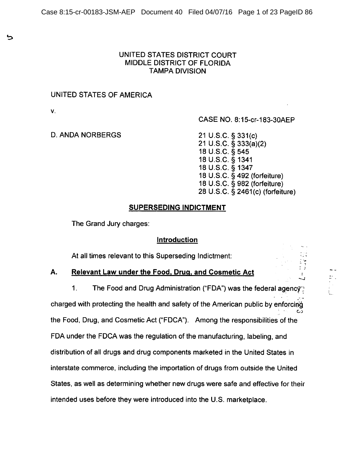### UNITED STATES DISTRICT COURT MIDDLE DISTRICT OF FLORIDA **TAMPA DIVISION**

### UNITED STATES OF AMERICA

V.

ئ

CASE NO. 8:15-cr-183-30AEP

### **D. ANDA NORBERGS**

21 U.S.C. § 331(c) 21 U.S.C.  $\bar{S}$  333(a)(2) 18 U.S.C. § 545 18 U.S.C. § 1341 18 U.S.C. § 1347 18 U.S.C. § 492 (forfeiture) 18 U.S.C. § 982 (forfeiture) 28 U.S.C. § 2461(c) (forfeiture)

 $\begin{array}{c} \frac{1}{2} & \frac{1}{2} \\ \frac{1}{2} & \frac{1}{2} \end{array}$ 

 $\mathbf{I}^{\top}$ 

## **SUPERSEDING INDICTMENT**

The Grand Jury charges:

### Introduction

At all times relevant to this Superseding Indictment:

#### А. **Relevant Law under the Food, Drug, and Cosmetic Act**

 $1<sub>1</sub>$ The Food and Drug Administration ("FDA") was the federal agency charged with protecting the health and safety of the American public by enforcing the Food, Drug, and Cosmetic Act ("FDCA"). Among the responsibilities of the FDA under the FDCA was the regulation of the manufacturing, labeling, and distribution of all drugs and drug components marketed in the United States in interstate commerce, including the importation of drugs from outside the United States, as well as determining whether new drugs were safe and effective for their intended uses before they were introduced into the U.S. marketplace.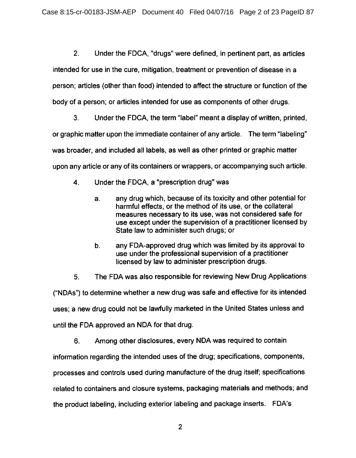$2.$ Under the FDCA, "drugs" were defined, in pertinent part, as articles intended for use in the cure, mitigation, treatment or prevention of disease in a person; articles (other than food) intended to affect the structure or function of the body of a person; or articles intended for use as components of other drugs.

 $3.$ Under the FDCA, the term "label" meant a display of written, printed, or graphic matter upon the immediate container of any article. The term "labeling" was broader, and included all labels, as well as other printed or graphic matter upon any article or any of its containers or wrappers, or accompanying such article.

- $\overline{4}$ . Under the FDCA, a "prescription drug" was
	- any drug which, because of its toxicity and other potential for  $a<sub>r</sub>$ harmful effects, or the method of its use, or the collateral measures necessary to its use, was not considered safe for use except under the supervision of a practitioner licensed by State law to administer such drugs; or
	- $b<sub>1</sub>$ any FDA-approved drug which was limited by its approval to use under the professional supervision of a practitioner licensed by law to administer prescription drugs.
- The FDA was also responsible for reviewing New Drug Applications  $5<sub>1</sub>$

("NDAs") to determine whether a new drug was safe and effective for its intended uses; a new drug could not be lawfully marketed in the United States unless and until the FDA approved an NDA for that drug.

6. Among other disclosures, every NDA was required to contain

information regarding the intended uses of the drug; specifications, components,

processes and controls used during manufacture of the drug itself; specifications

related to containers and closure systems, packaging materials and methods; and

the product labeling, including exterior labeling and package inserts. FDA's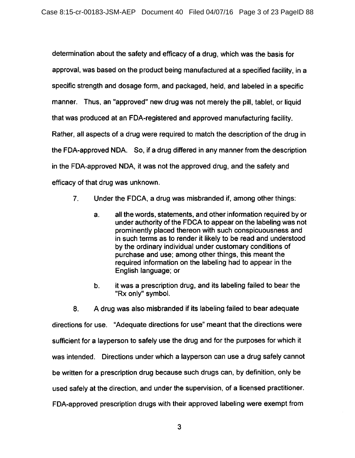determination about the safety and efficacy of a drug, which was the basis for approval, was based on the product being manufactured at a specified facility, in a specific strength and dosage form, and packaged, held, and labeled in a specific manner. Thus, an "approved" new drug was not merely the pill, tablet, or liquid that was produced at an FDA-registered and approved manufacturing facility. Rather, all aspects of a drug were required to match the description of the drug in the FDA-approved NDA. So, if a drug differed in any manner from the description in the FDA-approved NDA, it was not the approved drug, and the safety and efficacy of that drug was unknown.

- $7<sub>1</sub>$ Under the FDCA, a drug was misbranded if, among other things:
	- a. all the words, statements, and other information required by or under authority of the FDCA to appear on the labeling was not prominently placed thereon with such conspicuousness and in such terms as to render it likely to be read and understood by the ordinary individual under customary conditions of purchase and use; among other things, this meant the required information on the labeling had to appear in the English language; or
	- it was a prescription drug, and its labeling failed to bear the b. "Rx only" symbol.

 $8<sub>1</sub>$ A drug was also misbranded if its labeling failed to bear adequate directions for use. "Adequate directions for use" meant that the directions were sufficient for a layperson to safely use the drug and for the purposes for which it was intended. Directions under which a layperson can use a drug safely cannot be written for a prescription drug because such drugs can, by definition, only be used safely at the direction, and under the supervision, of a licensed practitioner. FDA-approved prescription drugs with their approved labeling were exempt from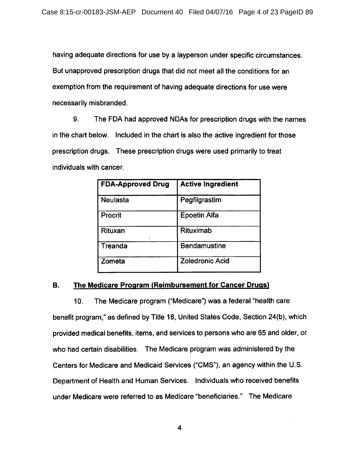having adequate directions for use by a layperson under specific circumstances. But unapproved prescription drugs that did not meet all the conditions for an exemption from the requirement of having adequate directions for use were necessarily misbranded.

9. The FDA had approved NDAs for prescription drugs with the names in the chart below. Included in the chart is also the active ingredient for those prescription drugs. These prescription drugs were used primarily to treat individuals with cancer.

| <b>FDA-Approved Drug</b> | <b>Active Ingredient</b> |
|--------------------------|--------------------------|
| <b>Neulasta</b>          | Pegfilgrastim            |
| Procrit                  | <b>Epoetin Alfa</b>      |
| Rituxan                  | Rituximab                |
| Treanda                  | <b>Bendamustine</b>      |
| Zometa                   | <b>Zoledronic Acid</b>   |

#### The Medicare Program (Reimbursement for Cancer Drugs) **B.**

 $10.$ The Medicare program ("Medicare") was a federal "health care benefit program," as defined by Title 18, United States Code, Section 24(b), which provided medical benefits, items, and services to persons who are 65 and older, or who had certain disabilities. The Medicare program was administered by the Centers for Medicare and Medicaid Services ("CMS"), an agency within the U.S. Department of Health and Human Services. Individuals who received benefits under Medicare were referred to as Medicare "beneficiaries." The Medicare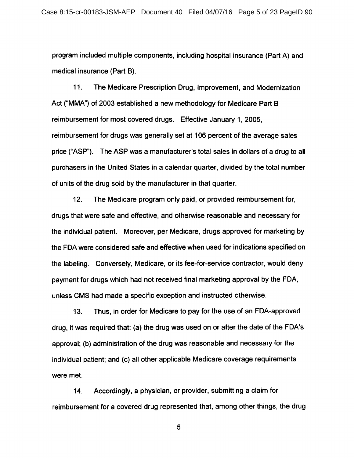program included multiple components, including hospital insurance (Part A) and medical insurance (Part B).

 $11.$ The Medicare Prescription Drug, Improvement, and Modernization Act ("MMA") of 2003 established a new methodology for Medicare Part B reimbursement for most covered drugs. Effective January 1, 2005, reimbursement for drugs was generally set at 106 percent of the average sales price ("ASP"). The ASP was a manufacturer's total sales in dollars of a drug to all purchasers in the United States in a calendar quarter, divided by the total number of units of the drug sold by the manufacturer in that quarter.

 $12.$ The Medicare program only paid, or provided reimbursement for, drugs that were safe and effective, and otherwise reasonable and necessary for the individual patient. Moreover, per Medicare, drugs approved for marketing by the FDA were considered safe and effective when used for indications specified on the labeling. Conversely, Medicare, or its fee-for-service contractor, would deny payment for drugs which had not received final marketing approval by the FDA. unless CMS had made a specific exception and instructed otherwise.

 $13.$ Thus, in order for Medicare to pay for the use of an FDA-approved drug, it was required that: (a) the drug was used on or after the date of the FDA's approval; (b) administration of the drug was reasonable and necessary for the individual patient; and (c) all other applicable Medicare coverage requirements were met.

Accordingly, a physician, or provider, submitting a claim for  $14.$ reimbursement for a covered drug represented that, among other things, the drug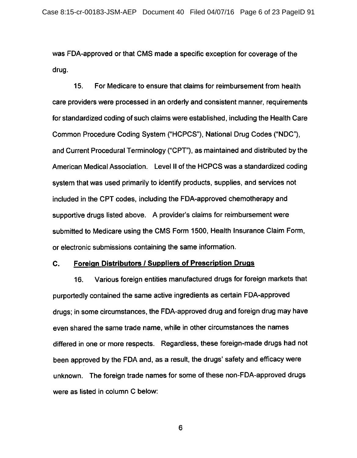was FDA-approved or that CMS made a specific exception for coverage of the drug.

 $15.$ For Medicare to ensure that claims for reimbursement from health care providers were processed in an orderly and consistent manner, requirements for standardized coding of such claims were established, including the Health Care Common Procedure Coding System ("HCPCS"), National Drug Codes ("NDC"). and Current Procedural Terminology ("CPT"), as maintained and distributed by the American Medical Association. Level II of the HCPCS was a standardized coding system that was used primarily to identify products, supplies, and services not included in the CPT codes, including the FDA-approved chemotherapy and supportive drugs listed above. A provider's claims for reimbursement were submitted to Medicare using the CMS Form 1500, Health Insurance Claim Form, or electronic submissions containing the same information.

#### C. **Foreign Distributors / Suppliers of Prescription Drugs**

Various foreign entities manufactured drugs for foreign markets that  $16.$ purportedly contained the same active ingredients as certain FDA-approved drugs; in some circumstances, the FDA-approved drug and foreign drug may have even shared the same trade name, while in other circumstances the names differed in one or more respects. Regardless, these foreign-made drugs had not been approved by the FDA and, as a result, the drugs' safety and efficacy were unknown. The foreign trade names for some of these non-FDA-approved drugs were as listed in column C below: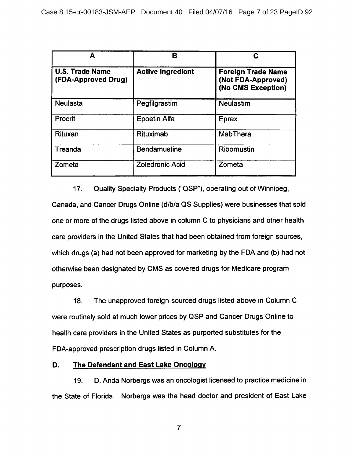| А                                             | в                        | С                                                                     |
|-----------------------------------------------|--------------------------|-----------------------------------------------------------------------|
| <b>U.S. Trade Name</b><br>(FDA-Approved Drug) | <b>Active Ingredient</b> | <b>Foreign Trade Name</b><br>(Not FDA-Approved)<br>(No CMS Exception) |
| Neulasta                                      | Pegfilgrastim            | <b>Neulastim</b>                                                      |
| Procrit                                       | <b>Epoetin Alfa</b>      | <b>Eprex</b>                                                          |
| Rituxan                                       | Rituximab                | MabThera                                                              |
| Treanda                                       | <b>Bendamustine</b>      | Ribomustin                                                            |
| Zometa                                        | <b>Zoledronic Acid</b>   | Zometa                                                                |

 $17<sub>1</sub>$ Quality Specialty Products ("QSP"), operating out of Winnipeg, Canada, and Cancer Drugs Online (d/b/a QS Supplies) were businesses that sold one or more of the drugs listed above in column C to physicians and other health care providers in the United States that had been obtained from foreign sources, which drugs (a) had not been approved for marketing by the FDA and (b) had not otherwise been designated by CMS as covered drugs for Medicare program purposes.

The unapproved foreign-sourced drugs listed above in Column C 18. were routinely sold at much lower prices by QSP and Cancer Drugs Online to health care providers in the United States as purported substitutes for the FDA-approved prescription drugs listed in Column A.

#### D. The Defendant and East Lake Oncology

D. Anda Norbergs was an oncologist licensed to practice medicine in 19. the State of Florida. Norbergs was the head doctor and president of East Lake

 $\overline{7}$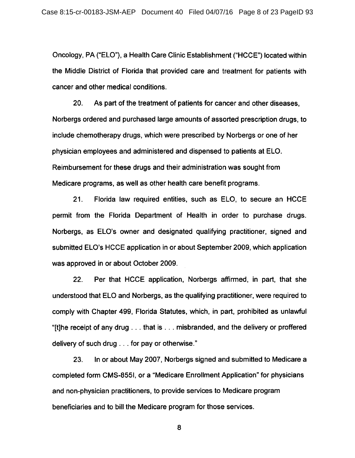Oncology, PA ("ELO"), a Health Care Clinic Establishment ("HCCE") located within the Middle District of Florida that provided care and treatment for patients with cancer and other medical conditions.

 $20.$ As part of the treatment of patients for cancer and other diseases. Norbergs ordered and purchased large amounts of assorted prescription drugs, to include chemotherapy drugs, which were prescribed by Norbergs or one of her physician employees and administered and dispensed to patients at ELO. Reimbursement for these drugs and their administration was sought from Medicare programs, as well as other health care benefit programs.

 $21.$ Florida law required entities, such as ELO, to secure an HCCE permit from the Florida Department of Health in order to purchase drugs. Norbergs, as ELO's owner and designated qualifying practitioner, signed and submitted ELO's HCCE application in or about September 2009, which application was approved in or about October 2009.

 $22.$ Per that HCCE application, Norbergs affirmed, in part, that she understood that ELO and Norbergs, as the qualifying practitioner, were required to comply with Chapter 499. Florida Statutes, which, in part, prohibited as unlawful "[t]he receipt of any drug . . . that is . . . misbranded, and the delivery or proffered delivery of such drug . . . for pay or otherwise."

In or about May 2007, Norbergs signed and submitted to Medicare a 23. completed form CMS-855I, or a "Medicare Enrollment Application" for physicians and non-physician practitioners, to provide services to Medicare program beneficiaries and to bill the Medicare program for those services.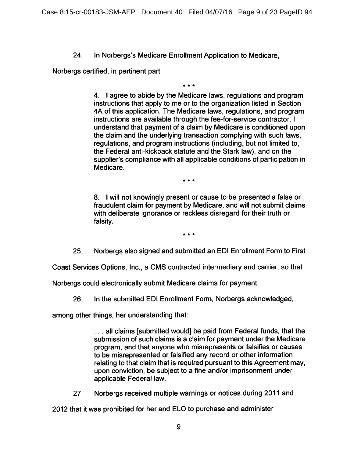In Norbergs's Medicare Enrollment Application to Medicare.  $24.$ 

Norbergs certified, in pertinent part:

4. I agree to abide by the Medicare laws, regulations and program instructions that apply to me or to the organization listed in Section 4A of this application. The Medicare laws, regulations, and program instructions are available through the fee-for-service contractor. I understand that payment of a claim by Medicare is conditioned upon the claim and the underlying transaction complying with such laws. regulations, and program instructions (including, but not limited to, the Federal anti-kickback statute and the Stark law), and on the supplier's compliance with all applicable conditions of participation in Medicare.

 $\star \star \star$ 

8. I will not knowingly present or cause to be presented a false or fraudulent claim for payment by Medicare, and will not submit claims with deliberate ignorance or reckless disregard for their truth or falsity.

 $* * *$ 

Norbergs also signed and submitted an EDI Enrollment Form to First 25.

Coast Services Options, Inc., a CMS contracted intermediary and carrier, so that

Norbergs could electronically submit Medicare claims for payment.

26. In the submitted EDI Enrollment Form, Norbergs acknowledged,

among other things, her understanding that:

... all claims [submitted would] be paid from Federal funds, that the submission of such claims is a claim for payment under the Medicare program, and that anyone who misrepresents or falsifies or causes to be misrepresented or falsified any record or other information relating to that claim that is required pursuant to this Agreement may, upon conviction, be subject to a fine and/or imprisonment under applicable Federal law.

27. Norbergs received multiple warnings or notices during 2011 and

2012 that it was prohibited for her and ELO to purchase and administer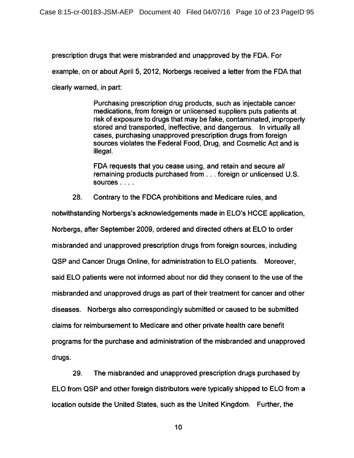prescription drugs that were misbranded and unapproved by the FDA. For

example, on or about April 5, 2012, Norbergs received a letter from the FDA that

clearly warned, in part:

Purchasing prescription drug products, such as injectable cancer medications, from foreign or unlicensed suppliers puts patients at risk of exposure to drugs that may be fake, contaminated, improperly stored and transported, ineffective, and dangerous. In virtually all cases, purchasing unapproved prescription drugs from foreign sources violates the Federal Food, Drug, and Cosmetic Act and is illegal.

FDA requests that you cease using, and retain and secure all remaining products purchased from . . . foreign or unlicensed U.S. sources  $\ldots$ 

28. Contrary to the FDCA prohibitions and Medicare rules, and

notwithstanding Norbergs's acknowledgements made in ELO's HCCE application, Norbergs, after September 2009, ordered and directed others at ELO to order misbranded and unapproved prescription drugs from foreign sources, including QSP and Cancer Drugs Online, for administration to ELO patients. Moreover, said ELO patients were not informed about nor did they consent to the use of the misbranded and unapproved drugs as part of their treatment for cancer and other diseases. Norbergs also correspondingly submitted or caused to be submitted claims for reimbursement to Medicare and other private health care benefit programs for the purchase and administration of the misbranded and unapproved drugs.

29. The misbranded and unapproved prescription drugs purchased by ELO from QSP and other foreign distributors were typically shipped to ELO from a location outside the United States, such as the United Kingdom. Further, the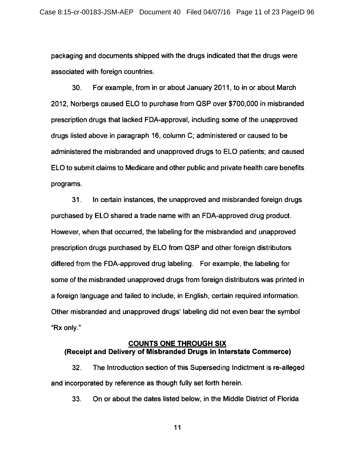packaging and documents shipped with the drugs indicated that the drugs were associated with foreign countries.

30. For example, from in or about January 2011, to in or about March 2012. Norbergs caused ELO to purchase from QSP over \$700,000 in misbranded prescription drugs that lacked FDA-approval, including some of the unapproved drugs listed above in paragraph 16, column C; administered or caused to be administered the misbranded and unapproved drugs to ELO patients; and caused ELO to submit claims to Medicare and other public and private health care benefits programs.

 $31.$ In certain instances, the unapproved and misbranded foreign drugs purchased by ELO shared a trade name with an FDA-approved drug product. However, when that occurred, the labeling for the misbranded and unapproved prescription drugs purchased by ELO from QSP and other foreign distributors differed from the FDA-approved drug labeling. For example, the labeling for some of the misbranded unapproved drugs from foreign distributors was printed in a foreign language and failed to include, in English, certain required information. Other misbranded and unapproved drugs' labeling did not even bear the symbol "Rx only."

### **COUNTS ONE THROUGH SIX** (Receipt and Delivery of Misbranded Drugs in Interstate Commerce)

 $32.$ The Introduction section of this Superseding Indictment is re-alleged and incorporated by reference as though fully set forth herein.

33. On or about the dates listed below, in the Middle District of Florida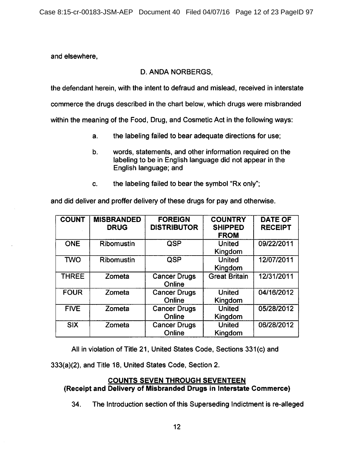and elsewhere.

# **D. ANDA NORBERGS.**

the defendant herein, with the intent to defraud and mislead, received in interstate

commerce the drugs described in the chart below, which drugs were misbranded

within the meaning of the Food, Drug, and Cosmetic Act in the following ways:

- the labeling failed to bear adequate directions for use;  $a<sub>r</sub>$
- $b.$ words, statements, and other information required on the labeling to be in English language did not appear in the English language; and
- the labeling failed to bear the symbol "Rx only": C.

and did deliver and proffer delivery of these drugs for pay and otherwise.

| <b>COUNT</b> | <b>MISBRANDED</b><br><b>DRUG</b> | <b>FOREIGN</b><br><b>DISTRIBUTOR</b> | <b>COUNTRY</b><br><b>SHIPPED</b><br><b>FROM</b> | <b>DATE OF</b><br><b>RECEIPT</b> |
|--------------|----------------------------------|--------------------------------------|-------------------------------------------------|----------------------------------|
| <b>ONE</b>   | Ribomustin                       | QSP                                  | <b>United</b><br>Kingdom                        | 09/22/2011                       |
| <b>TWO</b>   | Ribomustin                       | QSP                                  | <b>United</b><br>Kingdom                        | 12/07/2011                       |
| <b>THREE</b> | Zometa                           | <b>Cancer Drugs</b><br>Online        | <b>Great Britain</b>                            | 12/31/2011                       |
| <b>FOUR</b>  | Zometa                           | <b>Cancer Drugs</b><br>Online        | <b>United</b><br>Kingdom                        | 04/16/2012                       |
| <b>FIVE</b>  | Zometa                           | <b>Cancer Drugs</b><br>Online        | <b>United</b><br>Kingdom                        | 05/28/2012                       |
| <b>SIX</b>   | Zometa                           | <b>Cancer Drugs</b><br>Online        | <b>United</b><br>Kingdom                        | 06/28/2012                       |

All in violation of Title 21, United States Code, Sections 331(c) and

333(a)(2), and Title 18, United States Code, Section 2.

# **COUNTS SEVEN THROUGH SEVENTEEN** (Receipt and Delivery of Misbranded Drugs in Interstate Commerce)

34. The Introduction section of this Superseding Indictment is re-alleged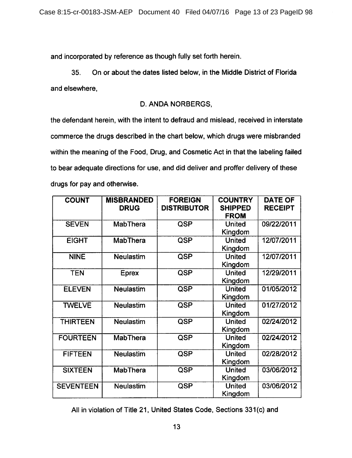and incorporated by reference as though fully set forth herein.

On or about the dates listed below, in the Middle District of Florida  $35.$ and elsewhere,

## D. ANDA NORBERGS,

the defendant herein, with the intent to defraud and mislead, received in interstate commerce the drugs described in the chart below, which drugs were misbranded within the meaning of the Food, Drug, and Cosmetic Act in that the labeling failed to bear adequate directions for use, and did deliver and proffer delivery of these drugs for pay and otherwise.

| <b>COUNT</b>     | <b>MISBRANDED</b><br><b>DRUG</b> | <b>FOREIGN</b><br><b>DISTRIBUTOR</b> | <b>COUNTRY</b><br><b>SHIPPED</b><br><b>FROM</b> | <b>DATE OF</b><br><b>RECEIPT</b> |
|------------------|----------------------------------|--------------------------------------|-------------------------------------------------|----------------------------------|
| <b>SEVEN</b>     | <b>MabThera</b>                  | QSP                                  | <b>United</b><br>Kingdom                        | 09/22/2011                       |
| <b>EIGHT</b>     | <b>MabThera</b>                  | QSP                                  | <b>United</b><br>Kingdom                        | 12/07/2011                       |
| <b>NINE</b>      | Neulastim                        | QSP                                  | <b>United</b><br>Kingdom                        | 12/07/2011                       |
| <b>TEN</b>       | <b>Eprex</b>                     | QSP                                  | <b>United</b><br>Kingdom                        | 12/29/2011                       |
| <b>ELEVEN</b>    | <b>Neulastim</b>                 | QSP                                  | <b>United</b><br>Kingdom                        | 01/05/2012                       |
| <b>TWELVE</b>    | <b>Neulastim</b>                 | QSP                                  | <b>United</b><br>Kingdom                        | 01/27/2012                       |
| <b>THIRTEEN</b>  | <b>Neulastim</b>                 | QSP                                  | <b>United</b><br>Kingdom                        | 02/24/2012                       |
| <b>FOURTEEN</b>  | MabThera                         | QSP                                  | <b>United</b><br>Kingdom                        | 02/24/2012                       |
| <b>FIFTEEN</b>   | <b>Neulastim</b>                 | QSP                                  | <b>United</b><br>Kingdom                        | 02/28/2012                       |
| <b>SIXTEEN</b>   | <b>MabThera</b>                  | QSP                                  | <b>United</b><br>Kingdom                        | 03/06/2012                       |
| <b>SEVENTEEN</b> | <b>Neulastim</b>                 | QSP                                  | <b>United</b><br>Kingdom                        | 03/06/2012                       |

All in violation of Title 21, United States Code, Sections 331(c) and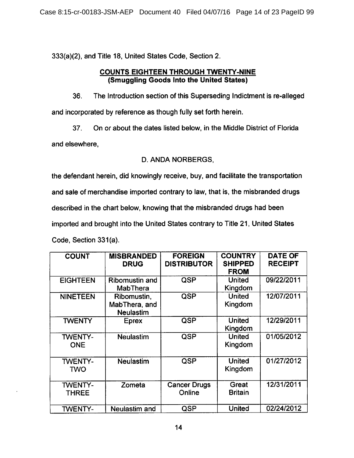333(a)(2), and Title 18, United States Code, Section 2.

### **COUNTS EIGHTEEN THROUGH TWENTY-NINE** (Smuggling Goods Into the United States)

The Introduction section of this Superseding Indictment is re-alleged 36. and incorporated by reference as though fully set forth herein.

37. On or about the dates listed below, in the Middle District of Florida

and elsewhere,

## D. ANDA NORBERGS,

the defendant herein, did knowingly receive, buy, and facilitate the transportation and sale of merchandise imported contrary to law, that is, the misbranded drugs described in the chart below, knowing that the misbranded drugs had been imported and brought into the United States contrary to Title 21, United States Code, Section 331(a).

| <b>COUNT</b>                   | <b>MISBRANDED</b><br><b>DRUG</b>                 | <b>FOREIGN</b><br><b>DISTRIBUTOR</b> | <b>COUNTRY</b><br><b>SHIPPED</b><br><b>FROM</b> | <b>DATE OF</b><br><b>RECEIPT</b> |
|--------------------------------|--------------------------------------------------|--------------------------------------|-------------------------------------------------|----------------------------------|
| <b>EIGHTEEN</b>                | <b>Ribomustin and</b><br><b>MabThera</b>         | QSP                                  | United<br>Kingdom                               | 09/22/2011                       |
| <b>NINETEEN</b>                | Ribomustin,<br>MabThera, and<br><b>Neulastim</b> | QSP                                  | <b>United</b><br>Kingdom                        | 12/07/2011                       |
| <b>TWENTY</b>                  | Eprex                                            | QSP                                  | <b>United</b><br>Kingdom                        | 12/29/2011                       |
| <b>TWENTY-</b><br><b>ONE</b>   | <b>Neulastim</b>                                 | QSP                                  | <b>United</b><br>Kingdom                        | 01/05/2012                       |
| <b>TWENTY-</b><br>TWO          | <b>Neulastim</b>                                 | <b>QSP</b>                           | <b>United</b><br>Kingdom                        | 01/27/2012                       |
| <b>TWENTY-</b><br><b>THREE</b> | Zometa                                           | <b>Cancer Drugs</b><br>Online        | Great<br><b>Britain</b>                         | 12/31/2011                       |
| <b>TWENTY-</b>                 | <b>Neulastim and</b>                             | QSP                                  | United                                          | 02/24/2012                       |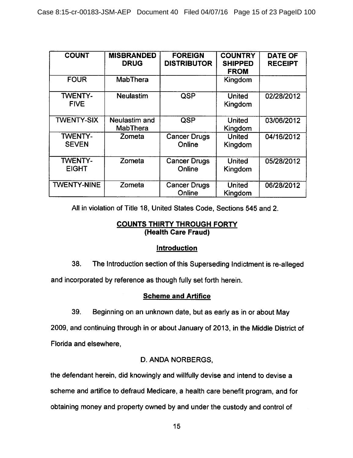| <b>COUNT</b>                   | <b>MISBRANDED</b><br><b>DRUG</b> | <b>FOREIGN</b><br><b>DISTRIBUTOR</b> | <b>COUNTRY</b><br><b>SHIPPED</b><br><b>FROM</b> | <b>DATE OF</b><br><b>RECEIPT</b> |
|--------------------------------|----------------------------------|--------------------------------------|-------------------------------------------------|----------------------------------|
| <b>FOUR</b>                    | <b>MabThera</b>                  |                                      | Kingdom                                         |                                  |
| <b>TWENTY-</b><br><b>FIVE</b>  | <b>Neulastim</b>                 | QSP                                  | <b>United</b><br>Kingdom                        | 02/28/2012                       |
| <b>TWENTY-SIX</b>              | Neulastim and<br><b>MabThera</b> | QSP                                  | <b>United</b><br>Kingdom                        | 03/06/2012                       |
| <b>TWENTY-</b><br><b>SEVEN</b> | Zometa                           | <b>Cancer Drugs</b><br>Online        | <b>United</b><br>Kingdom                        | 04/16/2012                       |
| <b>TWENTY-</b><br><b>EIGHT</b> | Zometa                           | <b>Cancer Drugs</b><br>Online        | <b>United</b><br>Kingdom                        | 05/28/2012                       |
| <b>TWENTY-NINE</b>             | Zometa                           | <b>Cancer Drugs</b><br>Online        | <b>United</b><br>Kingdom                        | 06/28/2012                       |

All in violation of Title 18, United States Code, Sections 545 and 2.

## **COUNTS THIRTY THROUGH FORTY** (Health Care Fraud)

# Introduction

38. The Introduction section of this Superseding Indictment is re-alleged

and incorporated by reference as though fully set forth herein.

# **Scheme and Artifice**

39. Beginning on an unknown date, but as early as in or about May

2009, and continuing through in or about January of 2013, in the Middle District of Florida and elsewhere,

# D. ANDA NORBERGS,

the defendant herein, did knowingly and willfully devise and intend to devise a

scheme and artifice to defraud Medicare, a health care benefit program, and for

obtaining money and property owned by and under the custody and control of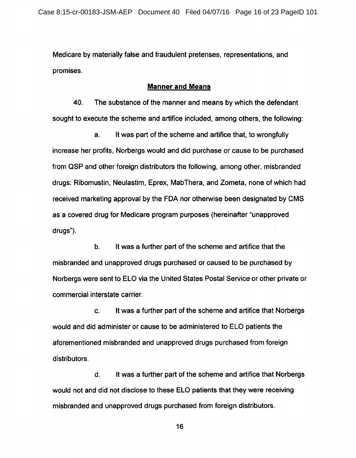Medicare by materially false and fraudulent pretenses, representations, and promises.

#### **Manner and Means**

40. The substance of the manner and means by which the defendant sought to execute the scheme and artifice included, among others, the following:

It was part of the scheme and artifice that, to wrongfully a. increase her profits, Norbergs would and did purchase or cause to be purchased from QSP and other foreign distributors the following, among other, misbranded drugs: Ribomustin, Neulastim, Eprex, MabThera, and Zometa, none of which had received marketing approval by the FDA nor otherwise been designated by CMS as a covered drug for Medicare program purposes (hereinafter "unapproved drugs").

 $\mathbf{b}$ . It was a further part of the scheme and artifice that the misbranded and unapproved drugs purchased or caused to be purchased by Norbergs were sent to ELO via the United States Postal Service or other private or commercial interstate carrier.

It was a further part of the scheme and artifice that Norbergs C. would and did administer or cause to be administered to ELO patients the aforementioned misbranded and unapproved drugs purchased from foreign distributors.

It was a further part of the scheme and artifice that Norbergs d. would not and did not disclose to these ELO patients that they were receiving misbranded and unapproved drugs purchased from foreign distributors.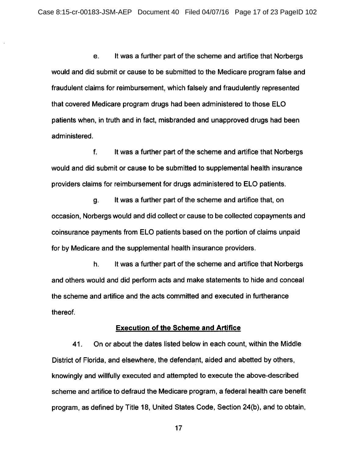It was a further part of the scheme and artifice that Norbergs e. would and did submit or cause to be submitted to the Medicare program false and fraudulent claims for reimbursement, which falsely and fraudulently represented that covered Medicare program drugs had been administered to those ELO patients when, in truth and in fact, misbranded and unapproved drugs had been administered.

f. It was a further part of the scheme and artifice that Norbergs would and did submit or cause to be submitted to supplemental health insurance providers claims for reimbursement for drugs administered to ELO patients.

It was a further part of the scheme and artifice that, on g. occasion, Norbergs would and did collect or cause to be collected copayments and coinsurance payments from ELO patients based on the portion of claims unpaid for by Medicare and the supplemental health insurance providers.

It was a further part of the scheme and artifice that Norbergs h. and others would and did perform acts and make statements to hide and conceal the scheme and artifice and the acts committed and executed in furtherance thereof.

#### **Execution of the Scheme and Artifice**

On or about the dates listed below in each count, within the Middle 41. District of Florida, and elsewhere, the defendant, aided and abetted by others, knowingly and willfully executed and attempted to execute the above-described scheme and artifice to defraud the Medicare program, a federal health care benefit program, as defined by Title 18, United States Code, Section 24(b), and to obtain,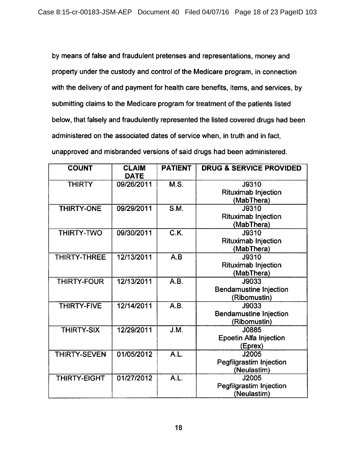by means of false and fraudulent pretenses and representations, money and property under the custody and control of the Medicare program, in connection with the delivery of and payment for health care benefits, items, and services, by submitting claims to the Medicare program for treatment of the patients listed below, that falsely and fraudulently represented the listed covered drugs had been administered on the associated dates of service when, in truth and in fact, unapproved and misbranded versions of said drugs had been administered.

| <b>COUNT</b>       | <b>CLAIM</b><br><b>DATE</b> | <b>PATIENT</b>    | <b>DRUG &amp; SERVICE PROVIDED</b> |
|--------------------|-----------------------------|-------------------|------------------------------------|
| <b>THIRTY</b>      | 09/26/2011                  | M.S.              | J9310                              |
|                    |                             |                   | <b>Rituximab Injection</b>         |
|                    |                             |                   | (MabThera)                         |
| THIRTY-ONE         | 09/29/2011                  | S.M.              | J9310                              |
|                    |                             |                   | <b>Rituximab Injection</b>         |
|                    |                             |                   | (MabThera)                         |
| THIRTY-TWO         | 09/30/2011                  | $\overline{C.K.}$ | J9310                              |
|                    |                             |                   | <b>Rituximab Injection</b>         |
|                    |                             |                   | (MabThera)                         |
| THIRTY-THREE       | 12/13/2011                  | $\overline{A.B}$  | J9310                              |
|                    |                             |                   | <b>Rituximab Injection</b>         |
|                    |                             |                   | (MabThera)                         |
| <b>THIRTY-FOUR</b> | 12/13/2011                  | $\overline{A.B.}$ | J9033                              |
|                    |                             |                   | <b>Bendamustine Injection</b>      |
|                    |                             |                   | (Ribomustin)                       |
| <b>THIRTY-FIVE</b> | 12/14/2011                  | A.B.              | J9033                              |
|                    |                             |                   | <b>Bendamustine Injection</b>      |
|                    |                             |                   | (Ribomustin)                       |
| <b>THIRTY-SIX</b>  | 12/29/2011                  | J.M.              | J0885                              |
|                    |                             |                   | <b>Epoetin Alfa Injection</b>      |
|                    |                             |                   | (Eprex)                            |
| THIRTY-SEVEN       | 01/05/2012                  | $\overline{AL.}$  | J2005                              |
|                    |                             |                   | Pegfilgrastim Injection            |
|                    |                             |                   | (Neulastim)                        |
| THIRTY-EIGHT       | 01/27/2012                  | $\overline{A.L.}$ | J2005                              |
|                    |                             |                   | Pegfilgrastim Injection            |
|                    |                             |                   | (Neulastim)                        |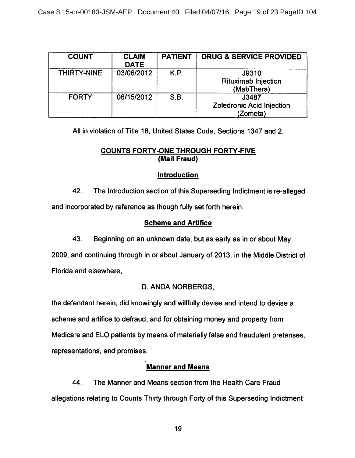| <b>COUNT</b> | <b>CLAIM</b><br><b>DATE</b> | <b>PATIENT</b> | <b>DRUG &amp; SERVICE PROVIDED</b>                |
|--------------|-----------------------------|----------------|---------------------------------------------------|
| THIRTY-NINE  | 03/06/2012                  | K.P.           | J9310<br><b>Rituximab Injection</b><br>(MabThera) |
| <b>FORTY</b> | 06/15/2012                  | S.B.           | J3487<br>Zoledronic Acid Injection<br>(Zometa)    |

All in violation of Title 18, United States Code, Sections 1347 and 2.

# **COUNTS FORTY-ONE THROUGH FORTY-FIVE** (Mail Fraud)

# **Introduction**

42. The Introduction section of this Superseding Indictment is re-alleged and incorporated by reference as though fully set forth herein.

# **Scheme and Artifice**

43. Beginning on an unknown date, but as early as in or about May

2009, and continuing through in or about January of 2013, in the Middle District of Florida and elsewhere,

# D. ANDA NORBERGS.

the defendant herein, did knowingly and willfully devise and intend to devise a scheme and artifice to defraud, and for obtaining money and property from Medicare and ELO patients by means of materially false and fraudulent pretenses, representations, and promises.

# **Manner and Means**

44. The Manner and Means section from the Health Care Fraud allegations relating to Counts Thirty through Forty of this Superseding Indictment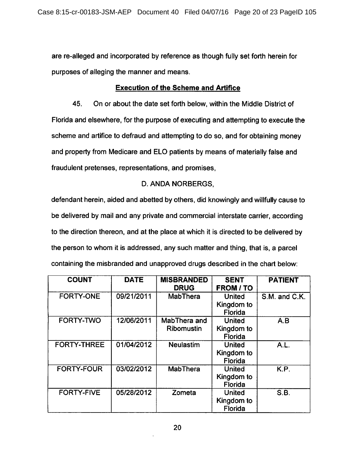are re-alleged and incorporated by reference as though fully set forth herein for purposes of alleging the manner and means.

## **Execution of the Scheme and Artifice**

45. On or about the date set forth below, within the Middle District of Florida and elsewhere, for the purpose of executing and attempting to execute the scheme and artifice to defraud and attempting to do so, and for obtaining money and property from Medicare and ELO patients by means of materially false and fraudulent pretenses, representations, and promises,

# D. ANDA NORBERGS.

defendant herein, aided and abetted by others, did knowingly and willfully cause to be delivered by mail and any private and commercial interstate carrier, according to the direction thereon, and at the place at which it is directed to be delivered by the person to whom it is addressed, any such matter and thing, that is, a parcel containing the misbranded and unapproved drugs described in the chart below:

| <b>COUNT</b>       | <b>DATE</b> | <b>MISBRANDED</b><br><b>DRUG</b> | <b>SENT</b><br><b>FROM / TO</b>               | <b>PATIENT</b> |
|--------------------|-------------|----------------------------------|-----------------------------------------------|----------------|
| <b>FORTY-ONE</b>   | 09/21/2011  | <b>MabThera</b>                  | <b>United</b><br>Kingdom to<br>Florida        | S.M. and C.K.  |
| <b>FORTY-TWO</b>   | 12/06/2011  | MabThera and<br>Ribomustin       | <b>United</b><br>Kingdom to<br><b>Florida</b> | A.B            |
| <b>FORTY-THREE</b> | 01/04/2012  | <b>Neulastim</b>                 | <b>United</b><br>Kingdom to<br>Florida        | A.L.           |
| <b>FORTY-FOUR</b>  | 03/02/2012  | <b>MabThera</b>                  | <b>United</b><br>Kingdom to<br><b>Florida</b> | K.P.           |
| <b>FORTY-FIVE</b>  | 05/28/2012  | Zometa                           | <b>United</b><br>Kingdom to<br>Florida        | S.B.           |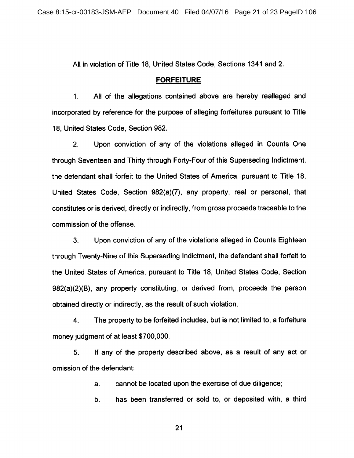All in violation of Title 18, United States Code, Sections 1341 and 2.

#### **FORFEITURE**

 $1<sub>1</sub>$ All of the allegations contained above are hereby realleged and incorporated by reference for the purpose of alleging forfeitures pursuant to Title 18, United States Code, Section 982.

 $2.$ Upon conviction of any of the violations alleged in Counts One through Seventeen and Thirty through Forty-Four of this Superseding Indictment, the defendant shall forfeit to the United States of America, pursuant to Title 18, United States Code, Section 982(a)(7), any property, real or personal, that constitutes or is derived, directly or indirectly, from gross proceeds traceable to the commission of the offense.

Upon conviction of any of the violations alleged in Counts Eighteen 3. through Twenty-Nine of this Superseding Indictment, the defendant shall forfeit to the United States of America, pursuant to Title 18, United States Code, Section 982(a)(2)(B), any property constituting, or derived from, proceeds the person obtained directly or indirectly, as the result of such violation.

4. The property to be forfeited includes, but is not limited to, a forfeiture money judgment of at least \$700,000.

If any of the property described above, as a result of any act or 5. omission of the defendant:

> cannot be located upon the exercise of due diligence;  $a<sub>r</sub>$

has been transferred or sold to, or deposited with, a third b.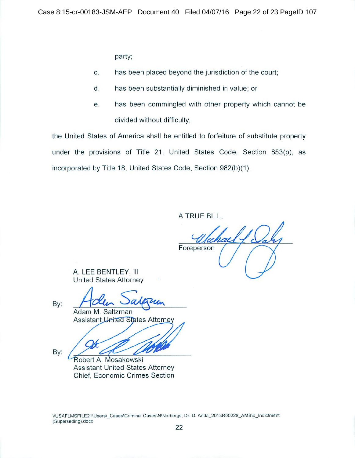party;

- $\overline{C}$ . has been placed beyond the jurisdiction of the court;
- d. has been substantially diminished in value; or
- has been commingled with other property which cannot be е. divided without difficulty,

the United States of America shall be entitled to forfeiture of substitute property under the provisions of Title 21, United States Code, Section 853(p), as incorporated by Title 18, United States Code, Section 982(b)(1).

A TRUE BILL.

Foreperson

A. LEE BENTLEY, III **United States Attorney** 

By:

By:

Adam M. Saltzman **Assistant United States Attorney** 

Robert A. Mosakowski **Assistant United States Attorney** Chief, Economic Crimes Section